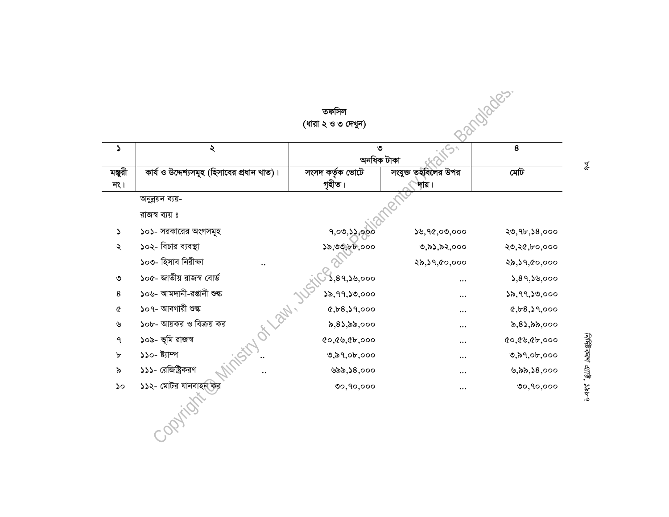|               | অনুন্নয়ন ব্যয়-                   |              |              |                      |
|---------------|------------------------------------|--------------|--------------|----------------------|
|               | রাজস্ব ব্যয় ঃ                     |              |              |                      |
| $\mathcal{L}$ | ১০১- সরকারের অংগসমূহ               | 9,00,33,000  | 39,90,00,000 | 20,9b,58,000         |
| ২             | ১০২- বিচার ব্যবস্থা                | ১৯,৩৩,৮৮,০০০ | ৩,৯১,৯২,০০০  | ২৩,২৫,৮০,০০০         |
|               | ১০৩- হিসাব নিরীক্ষা                |              | ২৯,১৭,৫০,০০০ | ২৯,১৭,৫০,০০০         |
| ৩             | ১০৫- জাতীয় রাজস্ব বোর্ড           | ১,৪৭,১৬,০০০  | $\cdots$     | 3,89,30,000          |
| 8             | ১০৬- আমদানী-রপ্তানী শুল্ক          | 32,99,30,000 | $\cdots$     | ১৯,৭৭,১৩,০০০         |
| ৫             | ১০৭- আবগারী শুল্ক                  | 8,58,39,000  | $\cdots$     | 8,68,39,000          |
| ৬             | HI DON.<br>১০৮- আয়কর ও বিক্রয় কর | ৯,৪১,৯৯,০০০  |              | ৯,৪১,৯৯,০০০          |
| ٩             | ১০৯- ভূমি রাজস্ব                   | (0.69, 0.00) | $\cdots$     | $Q_0, Q_0, Q_0, Q_0$ |
| b             | ১১০- ষ্ট্যাম্প                     | 0,89,06,000  | $\cdots$     | 0,89,06,000          |
| ৯             | ১১১- রেজিষ্ট্রিকরণ                 | ৬৯৯,১৪,০০০   | $\cdots$     | ৬,৯৯,১৪,০০০          |
| ১০            | ১১২- মোটর যানবাহনক্ষির             | 00,90,000    |              | 00,90,000            |
|               |                                    |              |              |                      |

নির্দিষ্টকরণ এ্যার্ট্ট, ১৯৮৭

 $\frac{a}{\sigma}$ 

Barroldes.

 $\zeta$ 

সংযুক্ত তহবিলৈর উপর

म्।य़ ।

 $\overline{\mathbf{8}}$ 

মেট

(ধারা ২ ও ৩ দেখুন)

 $\lambda$ 

কার্য ও উদ্দেশ্যসমূহ (হিসাবের প্রধান খাত)।

 $\blacktriangleright$ 

মঞ্জুরী

न९ $|$ 

৩<br>অনধিক টাকা

তফসিল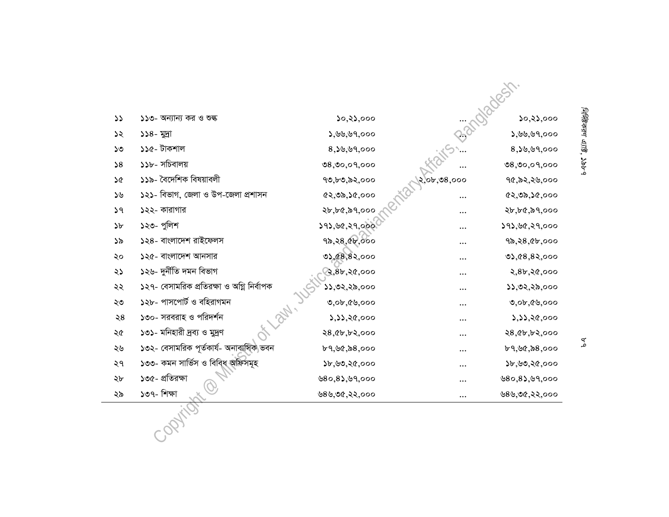|               |                                           |                         |                      | MRCK                   |
|---------------|-------------------------------------------|-------------------------|----------------------|------------------------|
| $\mathcal{L}$ | ১১৩- অন্যান্য কর ও শুল্ক                  | ১০,২১,০০০               |                      | ১০,২১,০০০              |
| ১২            | ১১৪- মূদ্রা                               | 3,99,99,000             |                      | ১,৬৬,৬৭,০০০            |
| ১৩            | ১১৫- টাকশাল                               | $8,$ 20,99,000          |                      | $8,$ 29,99,000         |
| 58            | ১১৮- সচিবালয়                             | 08,00,09,000            |                      | 08,00,09,000           |
| ১৫            | ১১৯- বৈদেশিক বিষয়াবলী                    | ৭৩,৮৩,৯২,০০০            | २,० <b>৮,७</b> 8,००० | ৭৫,৯২,২৬,০০০           |
| ১৬            | ১২১- বিভাগ, জেলা ও উপ-জেলা প্রশাসন        | $(2, 0)$ , $(6, 00)$    |                      | $(2, 0)$ , $(6, 00)$   |
| 39            | ১২২- কারাগার                              | ২৮,৮৫,৯৭,০০০            |                      | ২৮,৮৫,৯৭,০০০           |
| b             | ১২৩- পুলিশ                                | 293, 60, 29,000         | $\cdots$             | ১৭১,৬৫,২৭,০০০          |
| ১৯            | ১২৪- বাংলাদেশ রাইফেলস                     | १৯,२8,९४,०००            |                      | 92,28, 4b,000          |
| ২০            | ১২৫- বাংলাদেশ আনসার                       | 02,08,82,000            | $\cdots$             | 0,68,82,000            |
| ২১            | ১২৬- দুৰ্নীতি দমন বিভাগ                   | ষ্ট, $\bar{8}$ ৮,২৫,০০০ |                      | २,४৮,२৫,०००            |
| ২২            | ১২৭- বেসামরিক প্রতিরক্ষা ও অগ্নি নির্বাপক | ১১,৩২,২৯,০০০            | $\cdots$             | ১১,৩২,২৯,০০০           |
| ২৩            | ১২৮- পাসপোর্ট ও বহিরাগমন                  | $0,$ 0 $b,$ $60,$ 000   | $\cdots$             | $0,$ 0 $b,$ 0 $b,$ 000 |
| ২8            | ১৩০- সরবরাহ ও পরিদর্শন                    | 3,33,20,000             |                      | ১,১১,২৫,০০০            |
| ২৫            | ১৩১- মনিহারী দ্রব্য ও মুদ্রণ              | २8, ५४, ५२,०००          |                      | २8, ५४, ५२,०००         |
| ২৬            | ১৩২- বেসামরিক পূর্তকার্য- অনাবাসিক ভবন    | ৮৭,৬৫,৯৪,০০০            |                      | ৮৭,৬৫,৯৪,০০০           |
| ২৭            | ১৩৩- কমন সার্ভিস ও বিবিধ অফিসমূহ          | 55,90,80,000            |                      | ১৮,৬৩,২৫,০০০           |
| ২৮            | ১৩৫- প্রতিরক্ষা                           | 0.85, 0.000             |                      | 0.85, 0.000            |
| ২৯            | ১৩৭- শিক্ষা                               | ৬৪৬,৩৫,২২,০০০           |                      | ७८५,७৫,२२,०००          |
|               |                                           |                         |                      |                        |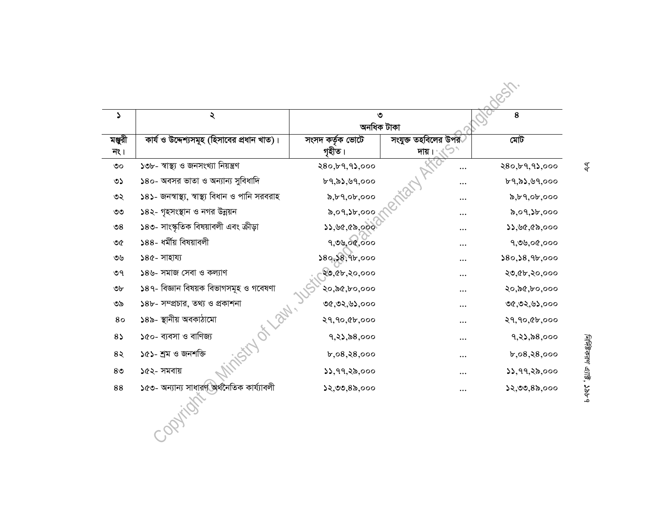| S                           | ২                                               | ৩<br>অনধিক টাকা            |                                           | 8                |
|-----------------------------|-------------------------------------------------|----------------------------|-------------------------------------------|------------------|
| মঞ্জুরী<br>$\overline{R}$ । | কার্য ও উদ্দেশ্যসমূহ (হিসাবের প্রধান খাত)।      | সংসদ কৰ্তৃক ভোটে<br>গৃহীত। | সংযুক্ত তহবিলের উপর <sup>্</sup><br>দায়। | মোট              |
| $\circ$                     | ১৩৮- স্বাস্থ্য ও জনসংখ্যা নিয়ন্ত্ৰণ            | २80, ४१, १३,०००            |                                           | २80,৮৭,৭১,०००    |
| ৩১                          | ১৪০- অবসর ভাতা ও অন্যান্য সুবিধাদি              | b9, b3, 99, 000            |                                           | b9, b3, b9, o00  |
| ৩২                          | ১৪১- জনস্বাস্থ্য, স্বাস্থ্য বিধান ও পানি সরবরাহ | x, b, 9, ob, ooo           | $\cdots$                                  | b, b, 9, ob, ooo |
| $\circ\circ$                | ১৪২- গৃহসংস্থান ও নগর উন্নয়ন                   | 5,09,36,000                |                                           | ৯,০৭,১৮,০০০      |
| $\mathcal{S}$               | ১৪৩- সাংস্কৃতিক বিষয়াবলী এবং ক্রীড়া           | ১১,৬৫,৫৯,০০০               | $\ddotsc$                                 | 33,96,60,000     |
| ৩৫                          | ১৪৪- ধর্মীয় বিষয়াবলী                          | १,७५,०९,०००                |                                           | १,७७,०৫,०००      |
| ৩৬                          | ১৪৫- সাহায্য                                    | 380, 38, 96,000            | .                                         | 380, 38, 9b, 000 |
| ৩৭                          | ১৪৬- সমাজ সেবা ও কল্যাণ                         | ২৩,৫৮,২০,০০০               | $\cdots$                                  | ২৩,৫৮,২০,০০০     |
| ৩৮                          | ১৪৭- বিজ্ঞান বিষয়ক বিভাগসমূহ ও গবেষণা          | ২০,৯৫,৮০,০০০               |                                           | २०,৯৫,৮०,०००     |
| ৩৯                          | ১৪৮- সম্প্রচার, তথ্য ও প্রকাশনা                 | ৩৫,৩২,৬১,০০০               |                                           | ৩৫,৩২,৬১,০০০     |
| 80                          | ind or law.<br>১৪৯- স্থানীয় অবকাঠামো           | २१,१०,९৮,०००               |                                           | २१,१०,८४,०००     |
| $8\sqrt{ }$                 | ১৫০- ব্যবসা ও বাণিজ্য                           | 9, 2), 28,000              |                                           | 9, 2), 28,000    |
| 8२                          | ১৫১- শ্ৰম ও জনশক্তি                             | b,08,8,000                 | $\cdots$                                  | b,08,88,000      |
| 8 <sup>o</sup>              | ১৫২- সমবায়                                     | 33,99,28,000               |                                           | 33,99,28,000     |
| 88                          | ১৫৩- অন্যান্য সাধারণ অর্থনৈতিক কার্য্যাবলী      | ১২,৩৩,৪৯,০০০               |                                           | ১২,৩৩,৪৯,০০০     |

 $\frac{q}{q}$ 

নির্দিষ্টকরণ এ্যাষ্ট, ১৯৮৭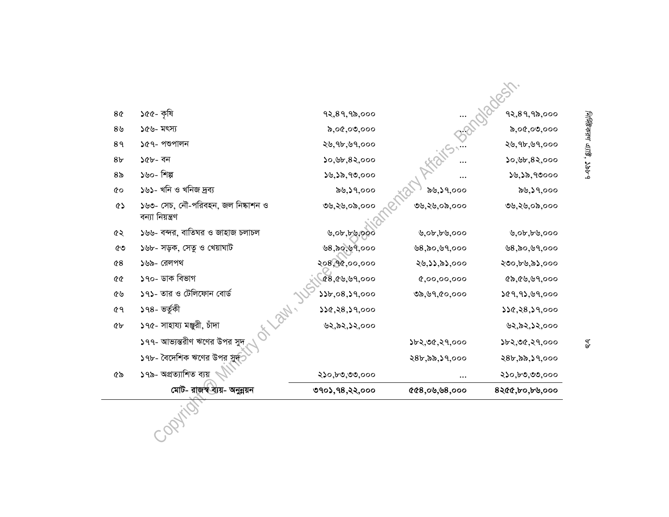| 8 <sub>0</sub> | ১৫৫- কৃষি                                              | १२,8१,१৯,०००     |                  | १२,8१,१৯,०००     |
|----------------|--------------------------------------------------------|------------------|------------------|------------------|
| 8 <sub>9</sub> | ১৫৬- মৎস্য                                             | 0,00,00,000      |                  | 5,00,00,000      |
| 89             | ১৫৭- পশুপালন                                           | ২৬,৭৮,৬৭,০০০     |                  | ২৬,৭৮,৬৭,০০০     |
| 8 <sub>b</sub> | ১৫৮- বন                                                | 50,95,82,000     |                  | 50,55,82,000     |
| 8 <sub>o</sub> | ১৬০- শিল্প                                             | 38,38,90,000     |                  | ১৬,১৯,৭৩০০০      |
| 6Ò             | ১৬১- খনি ও খনিজ দ্ৰব্য                                 | ৯৬,১৭,০০০        | ৯৬,১৭,০০০        | ৯৬,১৭,০০০        |
| ৫১             | ১৬৩- সেচ, নৌ-পরিবহন, জল নিষ্কাশন ও<br>বন্যা নিয়ন্ত্ৰণ | ७७,२७,०৯,०००     | ৩৬,২৬,০৯,০০০     | ७७,२७,०৯,०००     |
| ৫২             | ১৬৬- বন্দর, বাতিঘর ও জাহাজ চলাচল                       | 0, 0, 0, 0, 0, 0 | 0, 0, 0, 0, 0, 0 | 0, 0, 0, 0, 0, 0 |
| ৫৩             | ১৬৮- সড়ক, সেতু ও খেয়াঘাট                             | ৬৪,৯০,৬৭,০০০     | 98,80,99,000     | ७८,৯०,৬१,०००     |
| 68             | ১৬৯- রেলপথ                                             | २०8,१৫,००,०००    | ২৬,১১,৯১,০০০     | ২৩০,৮৬,৯১,০০০    |
| 00             | ১৭০- ডাক বিভাগ                                         | (8, 69, 99, 000) | 0,00,00,000      | ৫৯,৫৬,৬৭,০০০     |
| ৫৬             | ১৭১- তার ও টেলিফোন বোর্ড                               | 33b,08,39,000    | 0, 99, 60, 000   | 209, 93, 99, 000 |
| ৫৭             | Lady.<br>১৭৪- ভৰ্তুকী                                  | 350, 88, 39,000  |                  | 350, 88, 39,000  |
| ৫৮             | ১৭৫- সাহায্য মঞ্জুরী, চাঁদা                            | ৬২,৯২,১২,০০০     |                  | ৬২,৯২,১২,০০০     |
|                | ১৭৭- আভ্যন্তরীণ ঋণের উপর সুদ                           |                  | ১৮২,৩৫,২৭,০০০    | ১৮২,৩৫,২৭,০০০    |
|                | ১৭৮- বৈদেশিক ঋণের উপর সুদ                              |                  | ২৪৮,৯৯,১৭,০০০    | ২৪৮,৯৯,১৭,০০০    |
| ৫৯             | ১৭৯- অপ্রত্যাশিত ব্যয়                                 | ২১০,৮৩,৩৩,০০০    | $\cdots$         | ২১০,৮৩,৩৩,০০০    |
|                | মোট- রাজস্বর্ত্তায়- অনুন্নয়ন                         | ७१०১,१४,२२,०००   | 000,000,000      | 8২৫৫,৮০,৮৬,০০০   |
|                |                                                        |                  |                  |                  |

নির্দিষ্টকরণ এ্যাষ্ট, ১৯৮৭

a.<br>a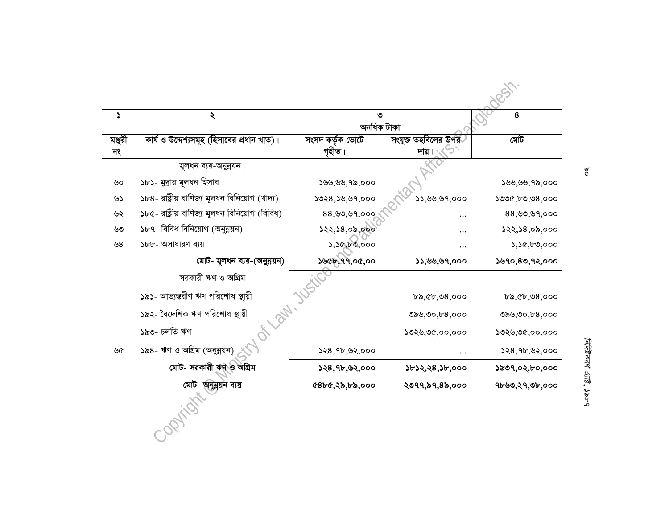| ډ                             | ২                                              | ৩<br>অনধিক টাকা            |                                           | 8                          |
|-------------------------------|------------------------------------------------|----------------------------|-------------------------------------------|----------------------------|
| মঞ্জুরী<br>$\overline{1}$ ९ । | কার্য ও উদ্দেশ্যসমূহ (হিসাবের প্রধান খাত)।     | সংসদ কৰ্তৃক ভোটে<br>গৃহীত। | সংযুক্ত তহবিলের উপর <sup>্</sup><br>দায়। | মেট                        |
|                               | মূলধন ব্যয়-অনুন্নয়ন।                         |                            |                                           |                            |
| ৬০                            | ১৮১- মুদ্ৰার মূলধন হিসাব                       | 555,55,95,000              |                                           | ১৬৬,৬৬,৭৯,০০০              |
| ৬১                            | ১৮৪- রাষ্ট্রীয় বাণিজ্য মূলধন বিনিয়োগ (খাদ্য) | 5028,55,59,000             | 33,99,99,000                              | ১৩৩৫,৮৩,৩৪,০০০             |
| ৬২                            | ১৮৫- রাষ্ট্রীয় বাণিজ্য মূলধন বিনিয়োগ (বিবিধ) | 88, 90, 99,000             |                                           | 88,99,99,000               |
| ৬৩                            | ১৮৭- বিবিধ বিনিয়োগ (অনুন্নয়ন)                | 322,38,00,000              |                                           | 322,38,00,000              |
| ৬ $8$                         | ১৮৮- অসাধারণ ব্যয়                             | 3,30,60,000                |                                           | 3,30,50,000                |
|                               | মোট- মূলধন ব্যয়-(অনুন্নয়ন)                   | ১৬৫৮, ৭৭,০৫,০০             | 33,99,99,000                              | \$90,80,92,000             |
|                               | সরকারী ঋণ ও অগ্রিম                             |                            |                                           |                            |
|                               | ১৯১- আভ্যন্তরীণ ঋণ পরিশোধ স্থায়ী              |                            | $b\delta, c\delta, 08,000$                | $b\delta, c\delta, 08,000$ |
|                               | ১৯২- বৈদেশিক ঋণ পরিশোধ স্থায়ী                 |                            | ৩৯৬,৩০,৮ $8,$ ০০০                         | 0,00,00,08,000             |
|                               | HI DINI<br>১৯৩- চলতি ঋণ                        |                            | ১৩২৬,৩৫,০০,০০০                            | ১৩২৬,৩৫,০০,০০০             |
| ৬৫                            | ১৯৪- ঋণ ও অগ্রিম (অনুন্নয়ন)                   | 528,9b,92,000              | .                                         | 528,9b,92,000              |
|                               | মোট- সরকারী ঋণ ও অগ্রিম                        | $528,9$ b, 92,000          | ১৮১২,২৪,১৮,০০০                            | ১৯৩৭,০২,৮০,০০০             |
|                               | মোট- অনুন্নয়ন ব্যয়                           | ৫৪৮৫,২৯,৮৯,০০০             | ২৩৭৭,৯৭,৪৯,০০০                            | ৭৮৬৩,২৭,৩৮,০০০             |
|                               |                                                |                            |                                           |                            |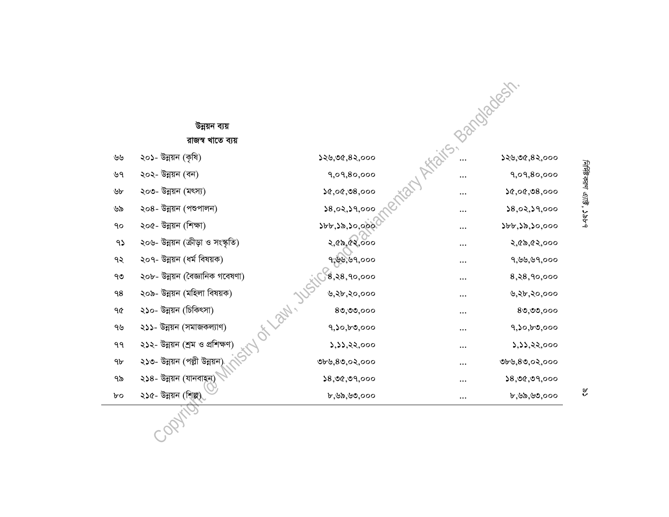|    | উন্নয়ন ব্যয়                     |                           | Bandadesh       |               |
|----|-----------------------------------|---------------------------|-----------------|---------------|
|    | রাজস্ব খাতে ব্যয়                 |                           |                 |               |
| ৬৬ | ২০১- উন্নয়ন (কৃষি)               | 529,06,82,000             |                 | ১২৬,৩৫,৪২,০০০ |
| ৬৭ | ২০২- উন্নয়ন (বন)                 | 9,09,80,000               | Y Africans.<br> | 9,09,80,000   |
| ৬৮ | ২০৩- উন্নয়ন (মৎস্য)              | 20,00,08,000              |                 | 20,00,08,000  |
| ৬৯ | ২০৪- উন্নয়ন (পশুপালন)            | 28,02,29,000              | $\cdots$        | 28,02,29,000  |
| ٩o | ২০৫- উন্নয়ন (শিক্ষা)             | 355,30,000                | $\cdots$        | ১৮৮,১৯,১০,০০০ |
| 95 | ২০৬- উন্নয়ন (ক্রীড়া ও সংস্কৃতি) | २,৫৯,৫২,০০০               | $\cdots$        | ২,৫৯,৫২,০০০   |
| ৭২ | ২০৭- উন্নয়ন (ধৰ্ম বিষয়ক)        | ঀ,৬৬,৬৭,০০০               | $\cdots$        | ৭,৬৬,৬৭,০০০   |
| ৭৩ | ২০৮- উন্নয়ন (বৈজ্ঞানিক গবেষণা)   | $,8,8,9$ 0,000            | $\cdots$        | 8, 28, 90,000 |
| 98 | ২০৯- উন্নয়ন (মহিলা বিষয়ক)       | ৬,২৮,২০,০০০               | $\cdots$        | ৬,২৮,২০,০০০   |
| ዓ৫ | ২১০- উন্নয়ন (চিকিৎসা)            | OF Law, Just<br>80,00,000 | $\cdots$        | 80,00,000     |
| ৭৬ | ২১১- উন্নয়ন (সমাজকল্যাণ)         | 9,50,50,000               | $\cdots$        | 9,50,50,000   |
| ۹۹ | ২১২- উন্নয়ন (শ্ৰম ও প্ৰশিক্ষণ)   | ১,১১,২২,০০০               | $\cdots$        | ১,১১,২২,০০০   |
| 9b | ২১৩- উন্নয়ন (পল্লী উন্নয়ন       | ৩৮৬,৪৩,০২,০০০             | $\cdots$        | ৩৮৬,৪৩,০২,০০০ |
| ৭৯ | ২১৪- উন্নয়ন (যানবাহন)            | 38,00,09,000              | $\cdots$        | 38,00,09,000  |
| bο | ২১৫- উন্নয়ন (শিল্প)              | ৮,৬৯,৬৩,০০০               | $\cdots$        | ৮,৬৯,৬৩,০০০   |
|    |                                   |                           |                 |               |
|    |                                   |                           |                 |               |

নির্দিষ্টকরণ এ্যার্ট্ট, ১৯৮৭ *Mিবিকরণ এ্যাষ্ট*, ১৯৮৭

 $\hat{\mathbf{s}}$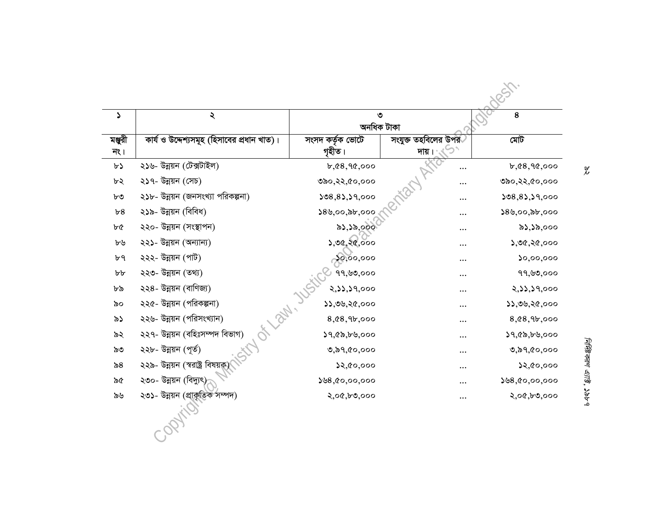| $\blacktriangleright$        | ২                                             | ৩<br>অনধিক টাকা            |                                           | 8                       |
|------------------------------|-----------------------------------------------|----------------------------|-------------------------------------------|-------------------------|
| মঞ্জুরী<br>$\overline{1}$ ९। | কার্য ও উদ্দেশ্যসমূহ (হিসাবের প্রধান খাত)।    | সংসদ কৰ্তৃক ভোটে<br>গৃহীত। | সংযুক্ত তহবিলের উপর <sup>ূ</sup><br>দায়। | মেট                     |
| $b\lambda$                   | ২১৬- উন্নয়ন (টেক্সটাইল)                      | b,68,90,000                |                                           | b,68,90,000             |
| ৮২                           | ২১৭- উন্নয়ন (সেচ)                            | ७৯०,२२,৫०,०००              |                                           | ७৯०,२२,৫०,०००           |
| ৮৩                           | ২১৮- উন্নয়ন (জনসংখ্যা পরিকল্পনা)             | 508,85,59,000              |                                           | 308,83,39,000           |
| b8                           | ২১৯- উন্নয়ন (বিবিধ)                          | 58,00,55,000               |                                           | 58,00,55,000            |
| ৮৫                           | ২২০- উন্নয়ন (সংস্থাপন)                       | ৯১,১৯,০০০                  |                                           | ৯১,১৯,০০০               |
| ৮৬                           | ২২১- উন্নয়ন (অন্যান্য)                       | ১,৩৫,২৫,০০০                |                                           | ১,৩৫,২৫,০০০             |
| ৮৭                           | ২২২- উন্নয়ন (পাট)                            | 30,00,000                  |                                           | $\mathfrak{so},$ 00,000 |
| b b                          | ২২৩- উন্নয়ন (তথ্য)                           | 99,৬৩,০০০                  |                                           | 99, ৬৩,000              |
| ৮৯                           | ২২৪- উন্নয়ন (বাণিজ্য)                        | २,১১,১৭,০০০                |                                           | २,১১,১৭,०००             |
| ৯০                           | ২২৫- উন্নয়ন (পরিকল্পনা)                      | 33,00,20,000               |                                           | ১১,৩৬,২৫,০০০            |
| ৯১                           | ২২৬- উন্নয়ন (পরিসংখ্যান)                     | 8, 68, 96,000              | .                                         | 8,08,96,000             |
| ৯২                           | OF Laby, 10<br>২২৭- উন্নয়ন (বহিঃসম্পদ বিভাগ) | ১৭,৫৯,৮৬,০০০               | .                                         | 19,00,000               |
| ৯৩                           | ২২৮- উন্নয়ন (পূৰ্ত)                          | 0,89,00,000                | .                                         | 0,89,00,000             |
| ৯ $8$                        | ২২৯- উন্নয়ন (স্বরাষ্ট্র বিষয়ক্র)            | 22,00,000                  |                                           | ১২,৫০,০০০               |
| ৯৫                           | ২৩০- উন্নয়ন (বিদ্যুৎ)                        | 558,00,00,000              |                                           | 58,00,00,000            |
| ৯৬                           | ২৩১- উন্নয়ন (প্রাকৃতিক সম্পদ)                | २,०৫,৮৩,०००                |                                           | २,०৫,৮৩,०००             |
|                              |                                               |                            |                                           |                         |

 $\chi$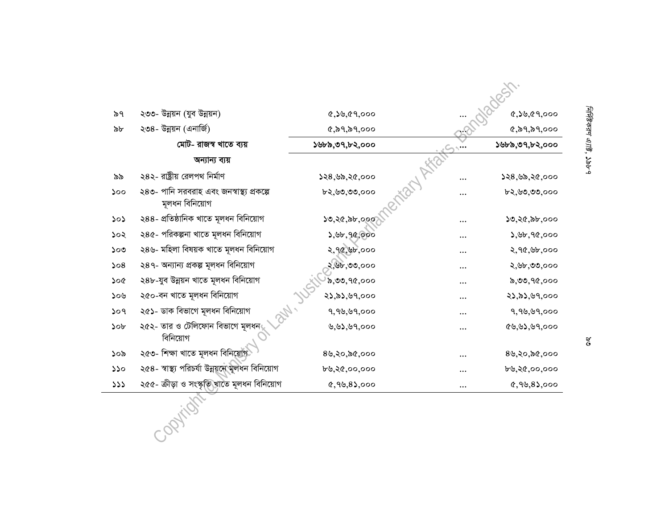| ৯৭                              | ২৩৩- উন্নয়ন (যুব উন্নয়ন)                                  | 8,58,69,000      |          | 8,55,69,000      |
|---------------------------------|-------------------------------------------------------------|------------------|----------|------------------|
| ৯৮                              | ২৩৪- উন্নয়ন (এনার্জি)                                      | (6, 89, 89, 000) |          | (6, 89, 89, 000) |
|                                 | মোট- রাজস্ব খাতে ব্যয়                                      | ১৬৮৯,৩৭,৮২,০০০   |          | ১৬৮৯,৩৭,৮২,০০০   |
|                                 | অন্যান্য ব্যয়                                              |                  |          |                  |
| ৯৯                              | ২৪২- রাষ্ট্রীয় রেলপথ নির্মাণ                               | ১২৪,৬৯,২৫,০০০    |          | ১২৪,৬৯,২৫,০০০    |
| 500                             | ২৪৩- পানি সরবরাহ এবং জনস্বাস্থ্য প্রকল্পে<br>মূলধন বিনিয়োগ | ৮২,৬৩,৩৩,০০০     |          | ৮২,৬৩,৩৩,০০০     |
| $\mathcal{L} \circ \mathcal{L}$ | ২৪৪- প্রতিষ্ঠানিক খাতে মূলধন বিনিয়োগ                       | ১৩,২৫,৯৮,০০০     |          | ১৩,২৫,৯৮,০০০     |
| ১০২                             | ২৪৫- পরিকল্পনা খাতে মূলধন বিনিয়োগ                          | 3,96,96,000      |          | 3,96,90,000      |
| ১০৩                             | ২৪৬- মহিলা বিষয়ক খাতে মূলধন বিনিয়োগ                       | 2,90,00,000      |          | २,१৫,৬৮,०००      |
| 508                             | ২৪৭- অন্যান্য প্ৰকল্প মূলধন বিনিয়োগ                        | ২,৬৮,৩৩,০০০      |          | ২,৬৮,৩৩,০০০      |
| ১০৫                             | ২৪৮-যুব উন্নয়ন খাতে মূলধন বিনিয়োগ                         | 5,00,90,000      |          | ৯,৩৩,৭৫,০০০      |
| ১০৬                             | ২৫০-বন খাতে মূলধন বিনিয়োগ                                  | ২১,৯১,৬৭,০০০     |          | ২১,৯১,৬৭,০০০     |
| 509                             | ২৫১- ডাক বিভাগে মূলধন বিনিয়োগ                              | 9, 96, 69,000    |          | 9, 99, 99,000    |
| 50 <sub>b</sub>                 | ২৫২- তার ও টেলিফোন বিভাগে মূলধন<br>বিনিয়োগ                 | ৬,৬১,৬৭,০০০      |          | 89,93,99,000     |
| ১০৯                             | ২৫৩- শিক্ষা খাতে মূলধন বিনিয়োগ                             | 8७,२०,৯৫,०००     |          | 8५,२०,৯৫,०००     |
| 550                             | ২৫৪- স্বাস্থ্য পরিচর্যা উন্নয়নে মূলধন বিনিয়োগ             | ৮৬,২৫,০০,০০০     |          | ৮৬,২৫,০০,০০০     |
| 333                             | ২৫৫- ক্রীড়া ও সংস্কৃতি,খাতে মূলধন বিনিয়োগ                 | $0,99,8$ ,000    | $\cdots$ | $0,99,8$ ,000    |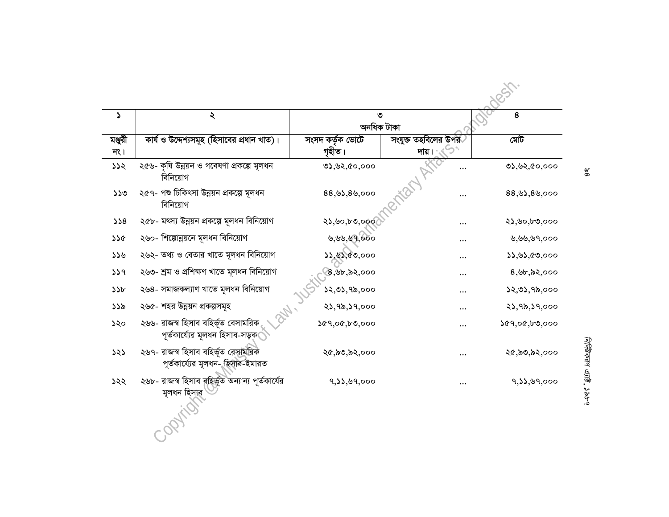| ډ                             | ২                                                                        | ৩<br>অনধিক টাকা            |                                           | 8                   |
|-------------------------------|--------------------------------------------------------------------------|----------------------------|-------------------------------------------|---------------------|
| মঞ্জুরী<br>$\overline{1}$ ९ । | কার্য ও উদ্দেশ্যসমূহ (হিসাবের প্রধান খাত)।                               | সংসদ কৰ্তৃক ভোটে<br>গৃহীত। | সংযুক্ত তহবিলের উপর <sup>্</sup><br>দায়। | মেট                 |
| 332                           | ২৫৬- কৃষি উন্নয়ন ও গবেষণা প্রকল্পে মূলধন<br>বিনিয়োগ                    | <b>७১,৬২,৫০,০০০</b>        |                                           | <b>७১,৬২,৫০,০০০</b> |
| 550                           | ২৫৭- পশু চিকিৎসা উন্নয়ন প্রকল্পে মূলধন<br>বিনিয়োগ                      | 88,93,89,000               |                                           | 88,93,89,000        |
| 558                           | ২৫৮- মৎস্য উন্নয়ন প্ৰকল্পে মূলধন বিনিয়োগ                               | ২১,৬০,৮৩,০০০               |                                           | ২১,৬০,৮৩,০০০        |
| 326                           | ২৬০- শিল্পোন্নয়নে মূলধন বিনিয়োগ                                        | ৬,৬৬,৬৭,০০০                |                                           | ৬,৬৬,৬৭,০০০         |
| ১১৬                           | ২৬২- তথ্য ও বেতার খাতে মূলধন বিনিয়োগ                                    | ১১,৬১,৫৩,০০০               | .                                         | 33,83,60,000        |
| 339                           | ২৬৩- শ্ৰম ও প্ৰশিক্ষণ খাতে মূলধন বিনিয়োগ                                | 8,৬৮,৯২,০০০                |                                           | 8,96,82,000         |
| 35b                           | ২৬৪- সমাজকল্যাণ খাতে মূলধন বিনিয়োগ                                      | ১২,৩১,৭৯,০০০               | .                                         | 32,03,95,000        |
| ১১৯                           | ২৬৫- শহর উন্নয়ন প্রকল্পসমূহ                                             | २১,१৯,১৭,०००               |                                           | २১,१৯,১৭,०००        |
| ১২০                           | ২৬৬- রাজস্ব হিসাব বহির্ভূত বেসামরিক<br>পূর্তকার্য্যের মূলধন হিসাব-সড়ক।  | ১৫৭,০৫,৮৩,০০০              |                                           | 209,00,00,000       |
| 323                           | ২৬৭- রাজস্ব হিসাব বহির্ভূত বেসামরিক<br>পূর্তকার্য্যের মূলধন- হিসাব-ইমারত | ২৫,৯৩,৯২,০০০               |                                           | ২৫,৯৩,৯২,০০০        |
| ১২২                           | ২৬৮- রাজস্ব হিসাব বহির্ভূত অন্যান্য পূর্তকার্যের<br>মূলধন হিসাৱ          | 9, 11, 99,000              |                                           | 9,33,09,000         |

 $\frac{8}{8}$ 

নির্দিষ্টকরণ এ্যাষ্ট, ১৯৮৭